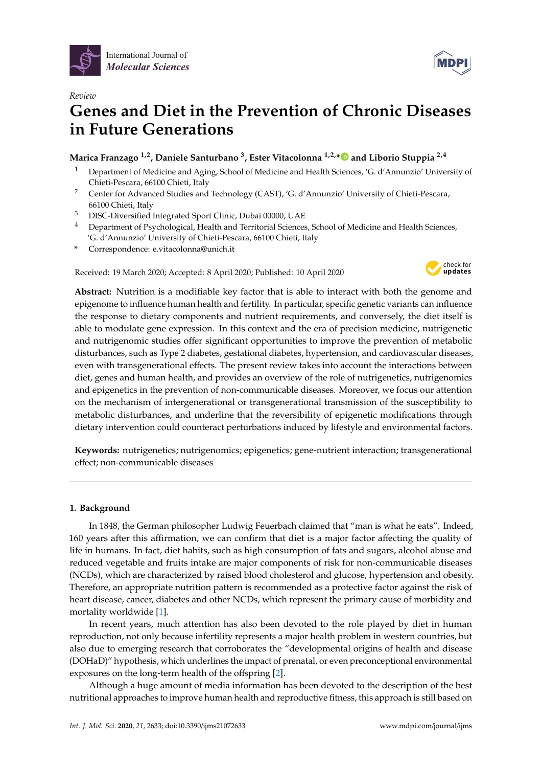

*Review*



# **Genes and Diet in the Prevention of Chronic Diseases in Future Generations**

## **Marica Franzago 1,2, Daniele Santurbano <sup>3</sup> , Ester Vitacolonna 1,2,[\\*](https://orcid.org/0000-0003-1756-661X) and Liborio Stuppia 2,4**

- <sup>1</sup> Department of Medicine and Aging, School of Medicine and Health Sciences, 'G. d'Annunzio' University of Chieti-Pescara, 66100 Chieti, Italy
- <sup>2</sup> Center for Advanced Studies and Technology (CAST), 'G. d'Annunzio' University of Chieti-Pescara, 66100 Chieti, Italy
- <sup>3</sup> DISC-Diversified Integrated Sport Clinic, Dubai 00000, UAE
- <sup>4</sup> Department of Psychological, Health and Territorial Sciences, School of Medicine and Health Sciences, 'G. d'Annunzio' University of Chieti-Pescara, 66100 Chieti, Italy
- **\*** Correspondence: e.vitacolonna@unich.it

Received: 19 March 2020; Accepted: 8 April 2020; Published: 10 April 2020



**Abstract:** Nutrition is a modifiable key factor that is able to interact with both the genome and epigenome to influence human health and fertility. In particular, specific genetic variants can influence the response to dietary components and nutrient requirements, and conversely, the diet itself is able to modulate gene expression. In this context and the era of precision medicine, nutrigenetic and nutrigenomic studies offer significant opportunities to improve the prevention of metabolic disturbances, such as Type 2 diabetes, gestational diabetes, hypertension, and cardiovascular diseases, even with transgenerational effects. The present review takes into account the interactions between diet, genes and human health, and provides an overview of the role of nutrigenetics, nutrigenomics and epigenetics in the prevention of non-communicable diseases. Moreover, we focus our attention on the mechanism of intergenerational or transgenerational transmission of the susceptibility to metabolic disturbances, and underline that the reversibility of epigenetic modifications through dietary intervention could counteract perturbations induced by lifestyle and environmental factors.

**Keywords:** nutrigenetics; nutrigenomics; epigenetics; gene-nutrient interaction; transgenerational effect; non-communicable diseases

### **1. Background**

In 1848, the German philosopher Ludwig Feuerbach claimed that "man is what he eats". Indeed, 160 years after this affirmation, we can confirm that diet is a major factor affecting the quality of life in humans. In fact, diet habits, such as high consumption of fats and sugars, alcohol abuse and reduced vegetable and fruits intake are major components of risk for non-communicable diseases (NCDs), which are characterized by raised blood cholesterol and glucose, hypertension and obesity. Therefore, an appropriate nutrition pattern is recommended as a protective factor against the risk of heart disease, cancer, diabetes and other NCDs, which represent the primary cause of morbidity and mortality worldwide [\[1\]](#page-7-0).

In recent years, much attention has also been devoted to the role played by diet in human reproduction, not only because infertility represents a major health problem in western countries, but also due to emerging research that corroborates the "developmental origins of health and disease (DOHaD)" hypothesis, which underlines the impact of prenatal, or even preconceptional environmental exposures on the long-term health of the offspring [\[2\]](#page-7-1).

Although a huge amount of media information has been devoted to the description of the best nutritional approaches to improve human health and reproductive fitness, this approach is still based on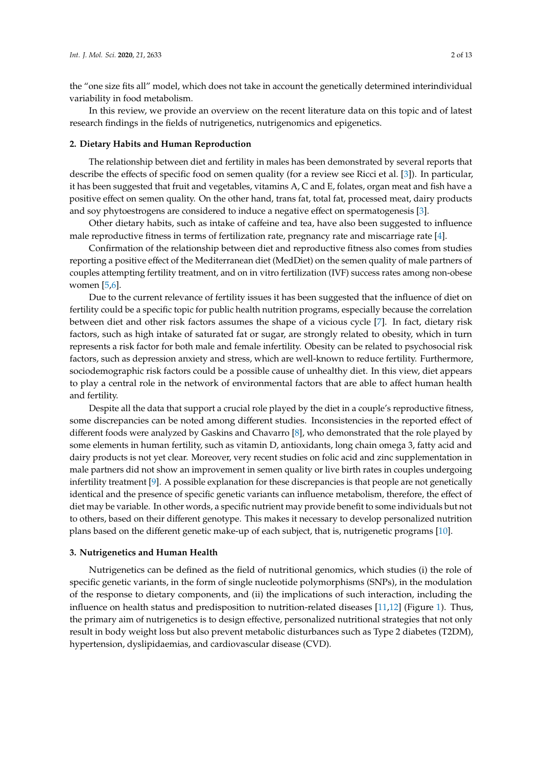the "one size fits all" model, which does not take in account the genetically determined interindividual variability in food metabolism.

In this review, we provide an overview on the recent literature data on this topic and of latest research findings in the fields of nutrigenetics, nutrigenomics and epigenetics.

#### **2. Dietary Habits and Human Reproduction**

The relationship between diet and fertility in males has been demonstrated by several reports that describe the effects of specific food on semen quality (for a review see Ricci et al. [\[3\]](#page-7-2)). In particular, it has been suggested that fruit and vegetables, vitamins A, C and E, folates, organ meat and fish have a positive effect on semen quality. On the other hand, trans fat, total fat, processed meat, dairy products and soy phytoestrogens are considered to induce a negative effect on spermatogenesis [\[3\]](#page-7-2).

Other dietary habits, such as intake of caffeine and tea, have also been suggested to influence male reproductive fitness in terms of fertilization rate, pregnancy rate and miscarriage rate [\[4\]](#page-7-3).

Confirmation of the relationship between diet and reproductive fitness also comes from studies reporting a positive effect of the Mediterranean diet (MedDiet) on the semen quality of male partners of couples attempting fertility treatment, and on in vitro fertilization (IVF) success rates among non-obese women [\[5,](#page-7-4)[6\]](#page-7-5).

Due to the current relevance of fertility issues it has been suggested that the influence of diet on fertility could be a specific topic for public health nutrition programs, especially because the correlation between diet and other risk factors assumes the shape of a vicious cycle [\[7\]](#page-7-6). In fact, dietary risk factors, such as high intake of saturated fat or sugar, are strongly related to obesity, which in turn represents a risk factor for both male and female infertility. Obesity can be related to psychosocial risk factors, such as depression anxiety and stress, which are well-known to reduce fertility. Furthermore, sociodemographic risk factors could be a possible cause of unhealthy diet. In this view, diet appears to play a central role in the network of environmental factors that are able to affect human health and fertility.

Despite all the data that support a crucial role played by the diet in a couple's reproductive fitness, some discrepancies can be noted among different studies. Inconsistencies in the reported effect of different foods were analyzed by Gaskins and Chavarro [\[8\]](#page-7-7), who demonstrated that the role played by some elements in human fertility, such as vitamin D, antioxidants, long chain omega 3, fatty acid and dairy products is not yet clear. Moreover, very recent studies on folic acid and zinc supplementation in male partners did not show an improvement in semen quality or live birth rates in couples undergoing infertility treatment [\[9\]](#page-7-8). A possible explanation for these discrepancies is that people are not genetically identical and the presence of specific genetic variants can influence metabolism, therefore, the effect of diet may be variable. In other words, a specific nutrient may provide benefit to some individuals but not to others, based on their different genotype. This makes it necessary to develop personalized nutrition plans based on the different genetic make-up of each subject, that is, nutrigenetic programs [\[10\]](#page-7-9).

#### **3. Nutrigenetics and Human Health**

Nutrigenetics can be defined as the field of nutritional genomics, which studies (i) the role of specific genetic variants, in the form of single nucleotide polymorphisms (SNPs), in the modulation of the response to dietary components, and (ii) the implications of such interaction, including the influence on health status and predisposition to nutrition-related diseases [\[11](#page-7-10)[,12\]](#page-7-11) (Figure [1\)](#page-2-0). Thus, the primary aim of nutrigenetics is to design effective, personalized nutritional strategies that not only result in body weight loss but also prevent metabolic disturbances such as Type 2 diabetes (T2DM), hypertension, dyslipidaemias, and cardiovascular disease (CVD).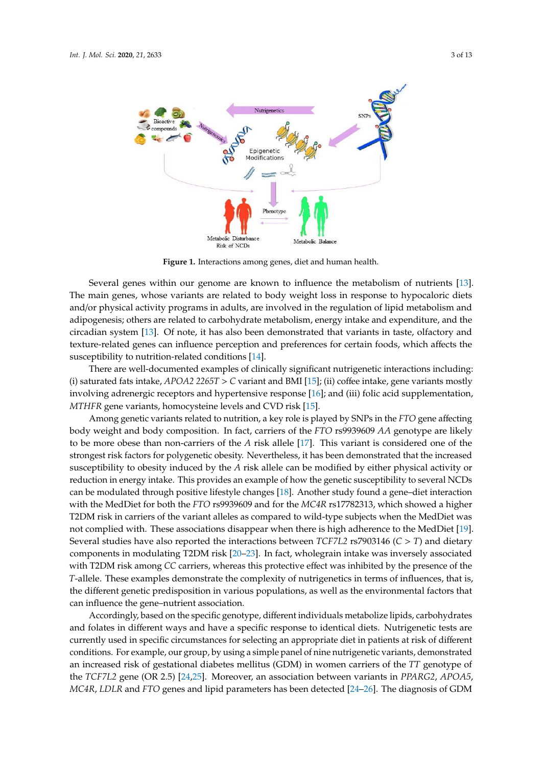<span id="page-2-0"></span>

**Figure 1.** Interactions among genes, diet and human health. **Figure 1.** Interactions among genes, diet and human health.

Several genes within our genome are known to influence the metabolism of nutrients  $[13]$ . The main genes, whose variants are related to body weight loss in response to hypocaloric diets and/or physical activity programs in adults, are involved in the regulation of lipid metabolism and adipogenesis; others are related to carbohydrate metabolism, energy intake and expenditure, and the circadian system [\[13\]](#page-7-12). Of note, it has also been demonstrated that variants in taste, olfactory and texture-related genes can influence perception and preferences for certain foods, which affects the  $s$ usceptibility to nutrition-related conditions [\[14\]](#page-7-13).

There are well-documented examples of clinically significant nutrigenetic interactions including: (i) saturated fats intake*, APOA2 2265T > C* variant and BMI [\[15\]](#page-8-0); (ii) coffee intake, gene variants mostly involving adrenergic receptors and hypertensive response [\[16\]](#page-8-1); and (iii) folic acid supplementation,  $\overline{a}$ *MTHFR* gene variants, homocysteine levels and CVD risk [\[15\]](#page-8-0).

Among genetic variants related to nutrition, a key role is played by SNPs in the *FTO* gene affecting body weight and body composition. In fact, carriers of the *FTO* rs9939609 *AA* genotype are likely to be more obese than non-carriers of the *A* risk allele [\[17\]](#page-8-2). This variant is considered one of the strongest risk factors for polygenetic obesity. Nevertheless, it has been demonstrated that the increased susceptibility to obesity induced by the *A* risk allele can be modified by either physical activity or reduction in energy intake. This provides an example of how the genetic susceptibility to several NCDs can be modulated through positive lifestyle changes [\[18\]](#page-8-3). Another study found a gene–diet interaction with the MedDiet for both the *FTO* rs9939609 and for the *MC4R* rs17782313, which showed a higher T2DM risk in carriers of the variant alleles as compared to wild-type subjects when the MedDiet was not complied with. These associations disappear when there is high adherence to the MedDiet [\[19\]](#page-8-4). Several studies have also reported the interactions between *TCF7L2* rs7903146 (*C* > *T*) and dietary components in modulating T2DM risk [\[20](#page-8-5)[–23\]](#page-8-6). In fact, wholegrain intake was inversely associated with T2DM risk among *CC* carriers, whereas this protective effect was inhibited by the presence of the *T*-allele. These examples demonstrate the complexity of nutrigenetics in terms of influences, that is, the different genetic predisposition in various populations, as well as the environmental factors that can influence the gene–nutrient association.

Accordingly, based on the specific genotype, different individuals metabolize lipids, carbohydrates and folates in different ways and have a specific response to identical diets. Nutrigenetic tests are currently used in specific circumstances for selecting an appropriate diet in patients at risk of different conditions. For example, our group, by using a simple panel of nine nutrigenetic variants, demonstrated an increased risk of gestational diabetes mellitus (GDM) in women carriers of the *TT* genotype of the *TCF7L2* gene (OR 2.5) [\[24,](#page-8-7)[25\]](#page-8-8). Moreover, an association between variants in *PPARG2*, *APOA5*, *MC4R*, *LDLR* and *FTO* genes and lipid parameters has been detected [\[24–](#page-8-7)[26\]](#page-8-9). The diagnosis of GDM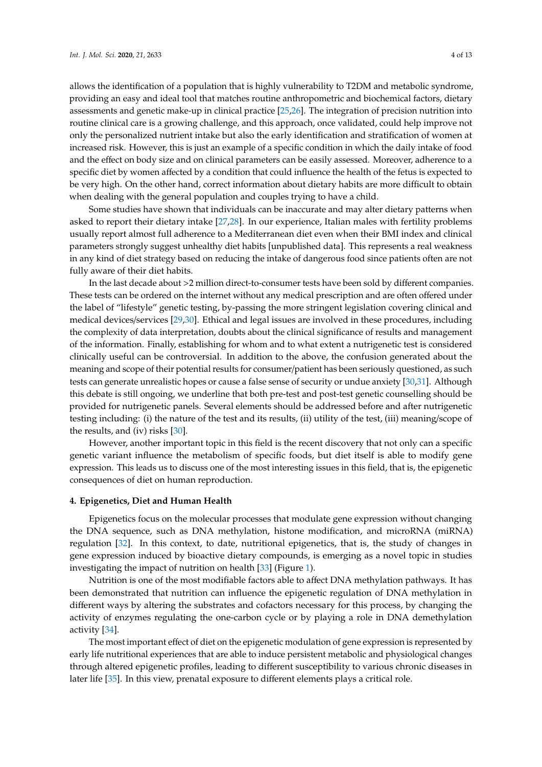allows the identification of a population that is highly vulnerability to T2DM and metabolic syndrome, providing an easy and ideal tool that matches routine anthropometric and biochemical factors, dietary assessments and genetic make-up in clinical practice [\[25](#page-8-8)[,26\]](#page-8-9). The integration of precision nutrition into routine clinical care is a growing challenge, and this approach, once validated, could help improve not only the personalized nutrient intake but also the early identification and stratification of women at increased risk. However, this is just an example of a specific condition in which the daily intake of food and the effect on body size and on clinical parameters can be easily assessed. Moreover, adherence to a specific diet by women affected by a condition that could influence the health of the fetus is expected to be very high. On the other hand, correct information about dietary habits are more difficult to obtain when dealing with the general population and couples trying to have a child.

Some studies have shown that individuals can be inaccurate and may alter dietary patterns when asked to report their dietary intake [\[27](#page-8-10)[,28\]](#page-8-11). In our experience, Italian males with fertility problems usually report almost full adherence to a Mediterranean diet even when their BMI index and clinical parameters strongly suggest unhealthy diet habits [unpublished data]. This represents a real weakness in any kind of diet strategy based on reducing the intake of dangerous food since patients often are not fully aware of their diet habits.

In the last decade about >2 million direct-to-consumer tests have been sold by different companies. These tests can be ordered on the internet without any medical prescription and are often offered under the label of "lifestyle" genetic testing, by-passing the more stringent legislation covering clinical and medical devices/services [\[29,](#page-8-12)[30\]](#page-8-13). Ethical and legal issues are involved in these procedures, including the complexity of data interpretation, doubts about the clinical significance of results and management of the information. Finally, establishing for whom and to what extent a nutrigenetic test is considered clinically useful can be controversial. In addition to the above, the confusion generated about the meaning and scope of their potential results for consumer/patient has been seriously questioned, as such tests can generate unrealistic hopes or cause a false sense of security or undue anxiety [\[30,](#page-8-13)[31\]](#page-8-14). Although this debate is still ongoing, we underline that both pre-test and post-test genetic counselling should be provided for nutrigenetic panels. Several elements should be addressed before and after nutrigenetic testing including: (i) the nature of the test and its results, (ii) utility of the test, (iii) meaning/scope of the results, and (iv) risks [\[30\]](#page-8-13).

However, another important topic in this field is the recent discovery that not only can a specific genetic variant influence the metabolism of specific foods, but diet itself is able to modify gene expression. This leads us to discuss one of the most interesting issues in this field, that is, the epigenetic consequences of diet on human reproduction.

#### **4. Epigenetics, Diet and Human Health**

Epigenetics focus on the molecular processes that modulate gene expression without changing the DNA sequence, such as DNA methylation, histone modification, and microRNA (miRNA) regulation [\[32\]](#page-8-15). In this context, to date, nutritional epigenetics, that is, the study of changes in gene expression induced by bioactive dietary compounds, is emerging as a novel topic in studies investigating the impact of nutrition on health [\[33\]](#page-8-16) (Figure [1\)](#page-2-0).

Nutrition is one of the most modifiable factors able to affect DNA methylation pathways. It has been demonstrated that nutrition can influence the epigenetic regulation of DNA methylation in different ways by altering the substrates and cofactors necessary for this process, by changing the activity of enzymes regulating the one-carbon cycle or by playing a role in DNA demethylation activity [\[34\]](#page-8-17).

The most important effect of diet on the epigenetic modulation of gene expression is represented by early life nutritional experiences that are able to induce persistent metabolic and physiological changes through altered epigenetic profiles, leading to different susceptibility to various chronic diseases in later life [\[35\]](#page-8-18). In this view, prenatal exposure to different elements plays a critical role.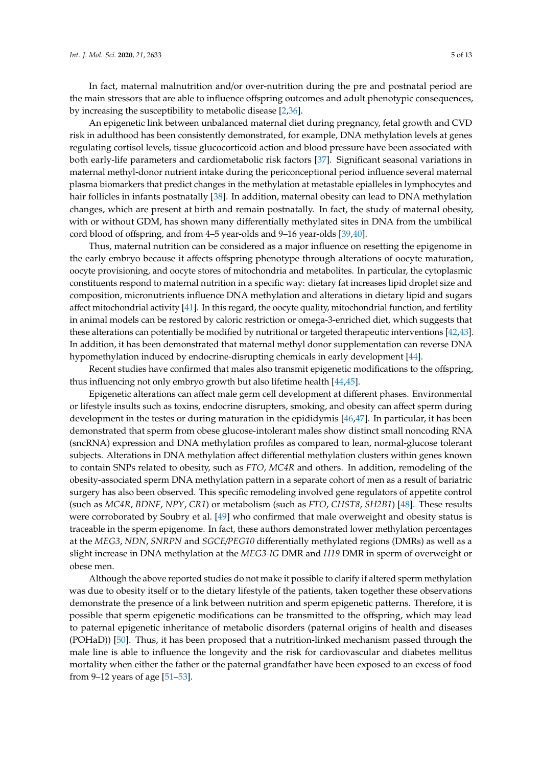In fact, maternal malnutrition and/or over-nutrition during the pre and postnatal period are the main stressors that are able to influence offspring outcomes and adult phenotypic consequences, by increasing the susceptibility to metabolic disease [\[2,](#page-7-1)[36\]](#page-9-0).

An epigenetic link between unbalanced maternal diet during pregnancy, fetal growth and CVD risk in adulthood has been consistently demonstrated, for example, DNA methylation levels at genes regulating cortisol levels, tissue glucocorticoid action and blood pressure have been associated with both early-life parameters and cardiometabolic risk factors [\[37\]](#page-9-1). Significant seasonal variations in maternal methyl-donor nutrient intake during the periconceptional period influence several maternal plasma biomarkers that predict changes in the methylation at metastable epialleles in lymphocytes and hair follicles in infants postnatally [\[38\]](#page-9-2). In addition, maternal obesity can lead to DNA methylation changes, which are present at birth and remain postnatally. In fact, the study of maternal obesity, with or without GDM, has shown many differentially methylated sites in DNA from the umbilical cord blood of offspring, and from 4–5 year-olds and 9–16 year-olds [\[39](#page-9-3)[,40\]](#page-9-4).

Thus, maternal nutrition can be considered as a major influence on resetting the epigenome in the early embryo because it affects offspring phenotype through alterations of oocyte maturation, oocyte provisioning, and oocyte stores of mitochondria and metabolites. In particular, the cytoplasmic constituents respond to maternal nutrition in a specific way: dietary fat increases lipid droplet size and composition, micronutrients influence DNA methylation and alterations in dietary lipid and sugars affect mitochondrial activity [\[41\]](#page-9-5). In this regard, the oocyte quality, mitochondrial function, and fertility in animal models can be restored by caloric restriction or omega-3-enriched diet, which suggests that these alterations can potentially be modified by nutritional or targeted therapeutic interventions [\[42](#page-9-6)[,43\]](#page-9-7). In addition, it has been demonstrated that maternal methyl donor supplementation can reverse DNA hypomethylation induced by endocrine-disrupting chemicals in early development [\[44\]](#page-9-8).

Recent studies have confirmed that males also transmit epigenetic modifications to the offspring, thus influencing not only embryo growth but also lifetime health [\[44,](#page-9-8)[45\]](#page-9-9).

Epigenetic alterations can affect male germ cell development at different phases. Environmental or lifestyle insults such as toxins, endocrine disrupters, smoking, and obesity can affect sperm during development in the testes or during maturation in the epididymis [\[46,](#page-9-10)[47\]](#page-9-11). In particular, it has been demonstrated that sperm from obese glucose-intolerant males show distinct small noncoding RNA (sncRNA) expression and DNA methylation profiles as compared to lean, normal-glucose tolerant subjects. Alterations in DNA methylation affect differential methylation clusters within genes known to contain SNPs related to obesity, such as *FTO*, *MC4R* and others. In addition, remodeling of the obesity-associated sperm DNA methylation pattern in a separate cohort of men as a result of bariatric surgery has also been observed. This specific remodeling involved gene regulators of appetite control (such as *MC4R*, *BDNF*, *NPY*, *CR1*) or metabolism (such as *FTO*, *CHST8*, *SH2B1*) [\[48\]](#page-9-12). These results were corroborated by Soubry et al. [\[49\]](#page-9-13) who confirmed that male overweight and obesity status is traceable in the sperm epigenome. In fact, these authors demonstrated lower methylation percentages at the *MEG3*, *NDN*, *SNRPN* and *SGCE*/*PEG10* differentially methylated regions (DMRs) as well as a slight increase in DNA methylation at the *MEG3-IG* DMR and *H19* DMR in sperm of overweight or obese men.

Although the above reported studies do not make it possible to clarify if altered sperm methylation was due to obesity itself or to the dietary lifestyle of the patients, taken together these observations demonstrate the presence of a link between nutrition and sperm epigenetic patterns. Therefore, it is possible that sperm epigenetic modifications can be transmitted to the offspring, which may lead to paternal epigenetic inheritance of metabolic disorders (paternal origins of health and diseases (POHaD)) [\[50\]](#page-9-14). Thus, it has been proposed that a nutrition-linked mechanism passed through the male line is able to influence the longevity and the risk for cardiovascular and diabetes mellitus mortality when either the father or the paternal grandfather have been exposed to an excess of food from 9–12 years of age [\[51–](#page-9-15)[53\]](#page-9-16).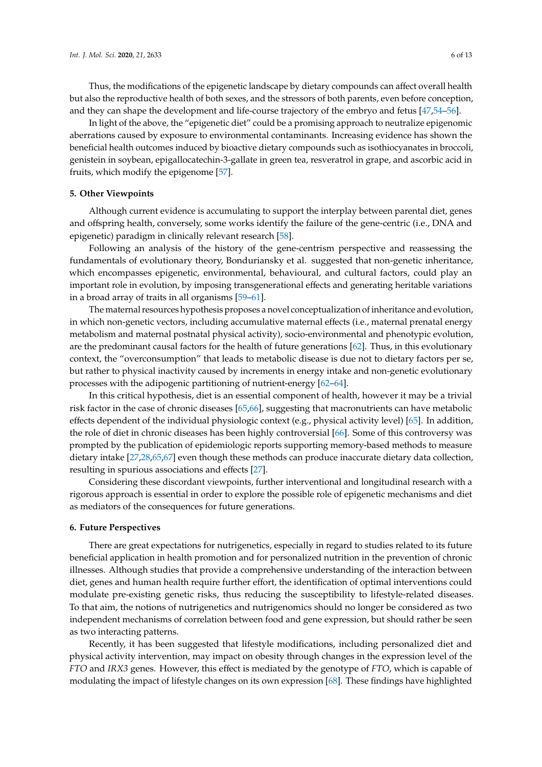Thus, the modifications of the epigenetic landscape by dietary compounds can affect overall health but also the reproductive health of both sexes, and the stressors of both parents, even before conception, and they can shape the development and life-course trajectory of the embryo and fetus [\[47,](#page-9-11)[54](#page-9-17)[–56\]](#page-10-0).

In light of the above, the "epigenetic diet" could be a promising approach to neutralize epigenomic aberrations caused by exposure to environmental contaminants. Increasing evidence has shown the beneficial health outcomes induced by bioactive dietary compounds such as isothiocyanates in broccoli, genistein in soybean, epigallocatechin-3-gallate in green tea, resveratrol in grape, and ascorbic acid in fruits, which modify the epigenome [\[57\]](#page-10-1).

#### **5. Other Viewpoints**

Although current evidence is accumulating to support the interplay between parental diet, genes and offspring health, conversely, some works identify the failure of the gene-centric (i.e., DNA and epigenetic) paradigm in clinically relevant research [\[58\]](#page-10-2).

Following an analysis of the history of the gene-centrism perspective and reassessing the fundamentals of evolutionary theory, Bonduriansky et al. suggested that non-genetic inheritance, which encompasses epigenetic, environmental, behavioural, and cultural factors, could play an important role in evolution, by imposing transgenerational effects and generating heritable variations in a broad array of traits in all organisms [\[59](#page-10-3)[–61\]](#page-10-4).

The maternal resources hypothesis proposes a novel conceptualization of inheritance and evolution, in which non-genetic vectors, including accumulative maternal effects (i.e., maternal prenatal energy metabolism and maternal postnatal physical activity), socio-environmental and phenotypic evolution, are the predominant causal factors for the health of future generations [\[62\]](#page-10-5). Thus, in this evolutionary context, the "overconsumption" that leads to metabolic disease is due not to dietary factors per se, but rather to physical inactivity caused by increments in energy intake and non-genetic evolutionary processes with the adipogenic partitioning of nutrient-energy [\[62](#page-10-5)[–64\]](#page-10-6).

In this critical hypothesis, diet is an essential component of health, however it may be a trivial risk factor in the case of chronic diseases [\[65,](#page-10-7)[66\]](#page-10-8), suggesting that macronutrients can have metabolic effects dependent of the individual physiologic context (e.g., physical activity level) [\[65\]](#page-10-7). In addition, the role of diet in chronic diseases has been highly controversial [\[66\]](#page-10-8). Some of this controversy was prompted by the publication of epidemiologic reports supporting memory-based methods to measure dietary intake [\[27,](#page-8-10)[28](#page-8-11)[,65](#page-10-7)[,67\]](#page-10-9) even though these methods can produce inaccurate dietary data collection, resulting in spurious associations and effects [\[27\]](#page-8-10).

Considering these discordant viewpoints, further interventional and longitudinal research with a rigorous approach is essential in order to explore the possible role of epigenetic mechanisms and diet as mediators of the consequences for future generations.

#### **6. Future Perspectives**

There are great expectations for nutrigenetics, especially in regard to studies related to its future beneficial application in health promotion and for personalized nutrition in the prevention of chronic illnesses. Although studies that provide a comprehensive understanding of the interaction between diet, genes and human health require further effort, the identification of optimal interventions could modulate pre-existing genetic risks, thus reducing the susceptibility to lifestyle-related diseases. To that aim, the notions of nutrigenetics and nutrigenomics should no longer be considered as two independent mechanisms of correlation between food and gene expression, but should rather be seen as two interacting patterns.

Recently, it has been suggested that lifestyle modifications, including personalized diet and physical activity intervention, may impact on obesity through changes in the expression level of the *FTO* and *IRX3* genes. However, this effect is mediated by the genotype of *FTO*, which is capable of modulating the impact of lifestyle changes on its own expression [\[68\]](#page-10-10). These findings have highlighted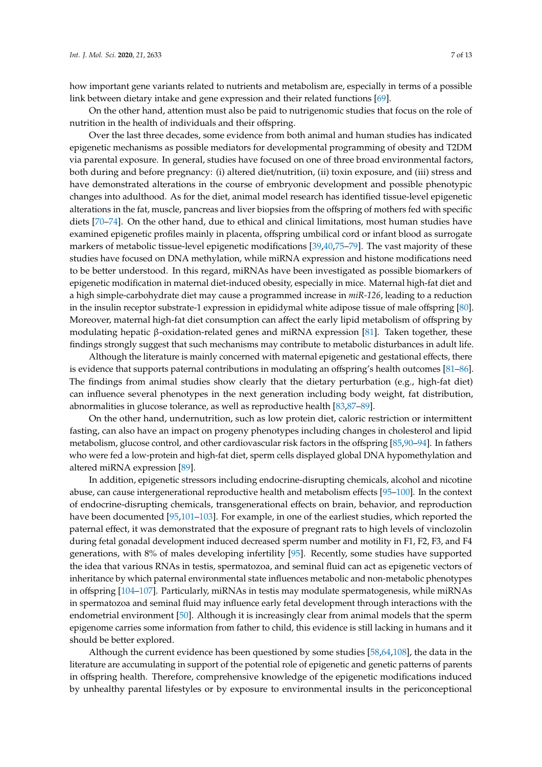how important gene variants related to nutrients and metabolism are, especially in terms of a possible link between dietary intake and gene expression and their related functions [\[69\]](#page-10-11).

On the other hand, attention must also be paid to nutrigenomic studies that focus on the role of nutrition in the health of individuals and their offspring.

Over the last three decades, some evidence from both animal and human studies has indicated epigenetic mechanisms as possible mediators for developmental programming of obesity and T2DM via parental exposure. In general, studies have focused on one of three broad environmental factors, both during and before pregnancy: (i) altered diet/nutrition, (ii) toxin exposure, and (iii) stress and have demonstrated alterations in the course of embryonic development and possible phenotypic changes into adulthood. As for the diet, animal model research has identified tissue-level epigenetic alterations in the fat, muscle, pancreas and liver biopsies from the offspring of mothers fed with specific diets [\[70–](#page-10-12)[74\]](#page-10-13). On the other hand, due to ethical and clinical limitations, most human studies have examined epigenetic profiles mainly in placenta, offspring umbilical cord or infant blood as surrogate markers of metabolic tissue-level epigenetic modifications [\[39,](#page-9-3)[40,](#page-9-4)[75](#page-10-14)[–79\]](#page-11-0). The vast majority of these studies have focused on DNA methylation, while miRNA expression and histone modifications need to be better understood. In this regard, miRNAs have been investigated as possible biomarkers of epigenetic modification in maternal diet-induced obesity, especially in mice. Maternal high-fat diet and a high simple-carbohydrate diet may cause a programmed increase in *miR-126*, leading to a reduction in the insulin receptor substrate-1 expression in epididymal white adipose tissue of male offspring [\[80\]](#page-11-1). Moreover, maternal high-fat diet consumption can affect the early lipid metabolism of offspring by modulating hepatic β-oxidation-related genes and miRNA expression [\[81\]](#page-11-2). Taken together, these findings strongly suggest that such mechanisms may contribute to metabolic disturbances in adult life.

Although the literature is mainly concerned with maternal epigenetic and gestational effects, there is evidence that supports paternal contributions in modulating an offspring's health outcomes [\[81–](#page-11-2)[86\]](#page-11-3). The findings from animal studies show clearly that the dietary perturbation (e.g., high-fat diet) can influence several phenotypes in the next generation including body weight, fat distribution, abnormalities in glucose tolerance, as well as reproductive health [\[83](#page-11-4)[,87](#page-11-5)[–89\]](#page-11-6).

On the other hand, undernutrition, such as low protein diet, caloric restriction or intermittent fasting, can also have an impact on progeny phenotypes including changes in cholesterol and lipid metabolism, glucose control, and other cardiovascular risk factors in the offspring [\[85,](#page-11-7)[90–](#page-11-8)[94\]](#page-11-9). In fathers who were fed a low-protein and high-fat diet, sperm cells displayed global DNA hypomethylation and altered miRNA expression [\[89\]](#page-11-6).

In addition, epigenetic stressors including endocrine-disrupting chemicals, alcohol and nicotine abuse, can cause intergenerational reproductive health and metabolism effects [\[95–](#page-12-0)[100\]](#page-12-1). In the context of endocrine-disrupting chemicals, transgenerational effects on brain, behavior, and reproduction have been documented [\[95](#page-12-0),101-[103\]](#page-12-3). For example, in one of the earliest studies, which reported the paternal effect, it was demonstrated that the exposure of pregnant rats to high levels of vinclozolin during fetal gonadal development induced decreased sperm number and motility in F1, F2, F3, and F4 generations, with 8% of males developing infertility [\[95\]](#page-12-0). Recently, some studies have supported the idea that various RNAs in testis, spermatozoa, and seminal fluid can act as epigenetic vectors of inheritance by which paternal environmental state influences metabolic and non-metabolic phenotypes in offspring [\[104–](#page-12-4)[107\]](#page-12-5). Particularly, miRNAs in testis may modulate spermatogenesis, while miRNAs in spermatozoa and seminal fluid may influence early fetal development through interactions with the endometrial environment [\[50\]](#page-9-14). Although it is increasingly clear from animal models that the sperm epigenome carries some information from father to child, this evidence is still lacking in humans and it should be better explored.

Although the current evidence has been questioned by some studies [\[58](#page-10-2)[,64](#page-10-6)[,108\]](#page-12-6), the data in the literature are accumulating in support of the potential role of epigenetic and genetic patterns of parents in offspring health. Therefore, comprehensive knowledge of the epigenetic modifications induced by unhealthy parental lifestyles or by exposure to environmental insults in the periconceptional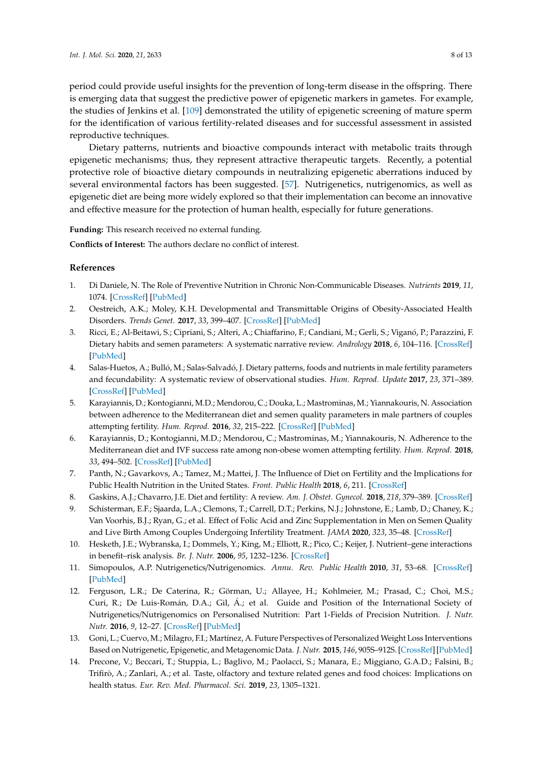period could provide useful insights for the prevention of long-term disease in the offspring. There is emerging data that suggest the predictive power of epigenetic markers in gametes. For example, the studies of Jenkins et al. [\[109\]](#page-12-7) demonstrated the utility of epigenetic screening of mature sperm for the identification of various fertility-related diseases and for successful assessment in assisted reproductive techniques.

Dietary patterns, nutrients and bioactive compounds interact with metabolic traits through epigenetic mechanisms; thus, they represent attractive therapeutic targets. Recently, a potential protective role of bioactive dietary compounds in neutralizing epigenetic aberrations induced by several environmental factors has been suggested. [\[57\]](#page-10-1). Nutrigenetics, nutrigenomics, as well as epigenetic diet are being more widely explored so that their implementation can become an innovative and effective measure for the protection of human health, especially for future generations.

**Funding:** This research received no external funding.

**Conflicts of Interest:** The authors declare no conflict of interest.

#### **References**

- <span id="page-7-0"></span>1. Di Daniele, N. The Role of Preventive Nutrition in Chronic Non-Communicable Diseases. *Nutrients* **2019**, *11*, 1074. [\[CrossRef\]](http://dx.doi.org/10.3390/nu11051074) [\[PubMed\]](http://www.ncbi.nlm.nih.gov/pubmed/31096558)
- <span id="page-7-1"></span>2. Oestreich, A.K.; Moley, K.H. Developmental and Transmittable Origins of Obesity-Associated Health Disorders. *Trends Genet.* **2017**, *33*, 399–407. [\[CrossRef\]](http://dx.doi.org/10.1016/j.tig.2017.03.008) [\[PubMed\]](http://www.ncbi.nlm.nih.gov/pubmed/28438343)
- <span id="page-7-2"></span>3. Ricci, E.; Al-Beitawi, S.; Cipriani, S.; Alteri, A.; Chiaffarino, F.; Candiani, M.; Gerli, S.; Viganó, P.; Parazzini, F. Dietary habits and semen parameters: A systematic narrative review. *Andrology* **2018**, *6*, 104–116. [\[CrossRef\]](http://dx.doi.org/10.1111/andr.12452) [\[PubMed\]](http://www.ncbi.nlm.nih.gov/pubmed/29266782)
- <span id="page-7-3"></span>4. Salas-Huetos, A.; Bulló, M.; Salas-Salvadó, J. Dietary patterns, foods and nutrients in male fertility parameters and fecundability: A systematic review of observational studies. *Hum. Reprod. Update* **2017**, *23*, 371–389. [\[CrossRef\]](http://dx.doi.org/10.1093/humupd/dmx006) [\[PubMed\]](http://www.ncbi.nlm.nih.gov/pubmed/28333357)
- <span id="page-7-4"></span>5. Karayiannis, D.; Kontogianni, M.D.; Mendorou, C.; Douka, L.; Mastrominas, M.; Yiannakouris, N. Association between adherence to the Mediterranean diet and semen quality parameters in male partners of couples attempting fertility. *Hum. Reprod.* **2016**, *32*, 215–222. [\[CrossRef\]](http://dx.doi.org/10.1093/humrep/dew288) [\[PubMed\]](http://www.ncbi.nlm.nih.gov/pubmed/27994040)
- <span id="page-7-5"></span>6. Karayiannis, D.; Kontogianni, M.D.; Mendorou, C.; Mastrominas, M.; Yiannakouris, N. Adherence to the Mediterranean diet and IVF success rate among non-obese women attempting fertility. *Hum. Reprod.* **2018**, *33*, 494–502. [\[CrossRef\]](http://dx.doi.org/10.1093/humrep/dey003) [\[PubMed\]](http://www.ncbi.nlm.nih.gov/pubmed/29390148)
- <span id="page-7-6"></span>7. Panth, N.; Gavarkovs, A.; Tamez, M.; Mattei, J. The Influence of Diet on Fertility and the Implications for Public Health Nutrition in the United States. *Front. Public Health* **2018**, *6*, 211. [\[CrossRef\]](http://dx.doi.org/10.3389/fpubh.2018.00211)
- <span id="page-7-7"></span>8. Gaskins, A.J.; Chavarro, J.E. Diet and fertility: A review. *Am. J. Obstet. Gynecol.* **2018**, *218*, 379–389. [\[CrossRef\]](http://dx.doi.org/10.1016/j.ajog.2017.08.010)
- <span id="page-7-8"></span>9. Schisterman, E.F.; Sjaarda, L.A.; Clemons, T.; Carrell, D.T.; Perkins, N.J.; Johnstone, E.; Lamb, D.; Chaney, K.; Van Voorhis, B.J.; Ryan, G.; et al. Effect of Folic Acid and Zinc Supplementation in Men on Semen Quality and Live Birth Among Couples Undergoing Infertility Treatment. *JAMA* **2020**, *323*, 35–48. [\[CrossRef\]](http://dx.doi.org/10.1001/jama.2019.18714)
- <span id="page-7-9"></span>10. Hesketh, J.E.; Wybranska, I.; Dommels, Y.; King, M.; Elliott, R.; Pico, C.; Keijer, J. Nutrient–gene interactions in benefit–risk analysis. *Br. J. Nutr.* **2006**, *95*, 1232–1236. [\[CrossRef\]](http://dx.doi.org/10.1079/BJN20061749)
- <span id="page-7-10"></span>11. Simopoulos, A.P. Nutrigenetics/Nutrigenomics. *Annu. Rev. Public Health* **2010**, *31*, 53–68. [\[CrossRef\]](http://dx.doi.org/10.1146/annurev.publhealth.031809.130844) [\[PubMed\]](http://www.ncbi.nlm.nih.gov/pubmed/20070200)
- <span id="page-7-11"></span>12. Ferguson, L.R.; De Caterina, R.; Görman, U.; Allayee, H.; Kohlmeier, M.; Prasad, C.; Choi, M.S.; Curi, R.; De Luis-Román, D.A.; Gil, Á.; et al. Guide and Position of the International Society of Nutrigenetics/Nutrigenomics on Personalised Nutrition: Part 1-Fields of Precision Nutrition. *J. Nutr. Nutr.* **2016**, *9*, 12–27. [\[CrossRef\]](http://dx.doi.org/10.1159/000445350) [\[PubMed\]](http://www.ncbi.nlm.nih.gov/pubmed/27169401)
- <span id="page-7-12"></span>13. Goni, L.; Cuervo, M.; Milagro, F.I.; Martínez, A. Future Perspectives of Personalized Weight Loss Interventions Based on Nutrigenetic, Epigenetic, and Metagenomic Data. *J. Nutr.* **2015**, *146*, 905S–912S. [\[CrossRef\]](http://dx.doi.org/10.3945/jn.115.218354) [\[PubMed\]](http://www.ncbi.nlm.nih.gov/pubmed/26962191)
- <span id="page-7-13"></span>14. Precone, V.; Beccari, T.; Stuppia, L.; Baglivo, M.; Paolacci, S.; Manara, E.; Miggiano, G.A.D.; Falsini, B.; Trifirò, A.; Zanlari, A.; et al. Taste, olfactory and texture related genes and food choices: Implications on health status. *Eur. Rev. Med. Pharmacol. Sci.* **2019**, *23*, 1305–1321.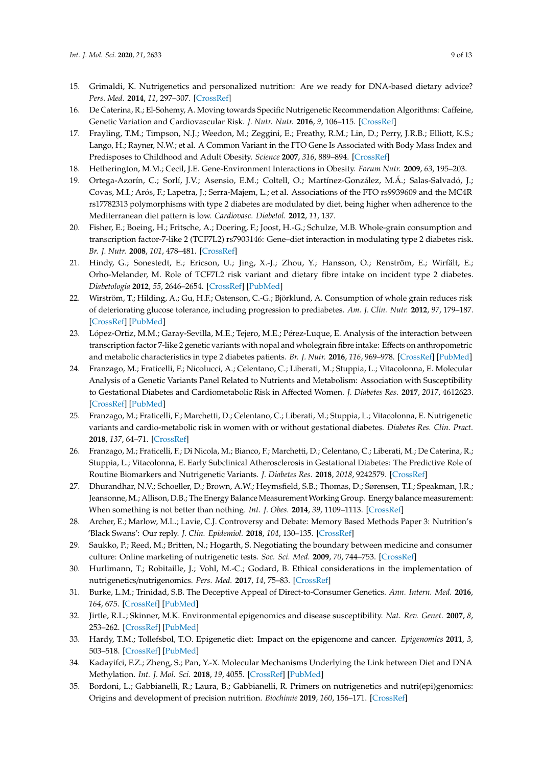- <span id="page-8-0"></span>15. Grimaldi, K. Nutrigenetics and personalized nutrition: Are we ready for DNA-based dietary advice? *Pers. Med.* **2014**, *11*, 297–307. [\[CrossRef\]](http://dx.doi.org/10.2217/pme.14.2)
- <span id="page-8-1"></span>16. De Caterina, R.; El-Sohemy, A. Moving towards Specific Nutrigenetic Recommendation Algorithms: Caffeine, Genetic Variation and Cardiovascular Risk. *J. Nutr. Nutr.* **2016**, *9*, 106–115. [\[CrossRef\]](http://dx.doi.org/10.1159/000446801)
- <span id="page-8-2"></span>17. Frayling, T.M.; Timpson, N.J.; Weedon, M.; Zeggini, E.; Freathy, R.M.; Lin, D.; Perry, J.R.B.; Elliott, K.S.; Lango, H.; Rayner, N.W.; et al. A Common Variant in the FTO Gene Is Associated with Body Mass Index and Predisposes to Childhood and Adult Obesity. *Science* **2007**, *316*, 889–894. [\[CrossRef\]](http://dx.doi.org/10.1126/science.1141634)
- <span id="page-8-4"></span><span id="page-8-3"></span>18. Hetherington, M.M.; Cecil, J.E. Gene-Environment Interactions in Obesity. *Forum Nutr.* **2009**, *63*, 195–203.
- 19. Ortega-Azorín, C.; Sorlí, J.V.; Asensio, E.M.; Coltell, O.; Martínez-González, M.Á.; Salas-Salvadó, J.; Covas, M.I.; Arós, F.; Lapetra, J.; Serra-Majem, L.; et al. Associations of the FTO rs9939609 and the MC4R rs17782313 polymorphisms with type 2 diabetes are modulated by diet, being higher when adherence to the Mediterranean diet pattern is low. *Cardiovasc. Diabetol.* **2012**, *11*, 137.
- <span id="page-8-5"></span>20. Fisher, E.; Boeing, H.; Fritsche, A.; Doering, F.; Joost, H.-G.; Schulze, M.B. Whole-grain consumption and transcription factor-7-like 2 (TCF7L2) rs7903146: Gene–diet interaction in modulating type 2 diabetes risk. *Br. J. Nutr.* **2008**, *101*, 478–481. [\[CrossRef\]](http://dx.doi.org/10.1017/S0007114508020369)
- 21. Hindy, G.; Sonestedt, E.; Ericson, U.; Jing, X.-J.; Zhou, Y.; Hansson, O.; Renström, E.; Wirfält, E.; Orho-Melander, M. Role of TCF7L2 risk variant and dietary fibre intake on incident type 2 diabetes. *Diabetologia* **2012**, *55*, 2646–2654. [\[CrossRef\]](http://dx.doi.org/10.1007/s00125-012-2634-x) [\[PubMed\]](http://www.ncbi.nlm.nih.gov/pubmed/22782288)
- 22. Wirström, T.; Hilding, A.; Gu, H.F.; Ostenson, C.-G.; Björklund, A. Consumption of whole grain reduces risk of deteriorating glucose tolerance, including progression to prediabetes. *Am. J. Clin. Nutr.* **2012**, *97*, 179–187. [\[CrossRef\]](http://dx.doi.org/10.3945/ajcn.112.045583) [\[PubMed\]](http://www.ncbi.nlm.nih.gov/pubmed/23235198)
- <span id="page-8-6"></span>23. López-Ortiz, M.M.; Garay-Sevilla, M.E.; Tejero, M.E.; Pérez-Luque, E. Analysis of the interaction between transcription factor 7-like 2 genetic variants with nopal and wholegrain fibre intake: Effects on anthropometric and metabolic characteristics in type 2 diabetes patients. *Br. J. Nutr.* **2016**, *116*, 969–978. [\[CrossRef\]](http://dx.doi.org/10.1017/S0007114516002798) [\[PubMed\]](http://www.ncbi.nlm.nih.gov/pubmed/27480250)
- <span id="page-8-7"></span>24. Franzago, M.; Fraticelli, F.; Nicolucci, A.; Celentano, C.; Liberati, M.; Stuppia, L.; Vitacolonna, E. Molecular Analysis of a Genetic Variants Panel Related to Nutrients and Metabolism: Association with Susceptibility to Gestational Diabetes and Cardiometabolic Risk in Affected Women. *J. Diabetes Res.* **2017**, *2017*, 4612623. [\[CrossRef\]](http://dx.doi.org/10.1155/2017/4612623) [\[PubMed\]](http://www.ncbi.nlm.nih.gov/pubmed/28133617)
- <span id="page-8-8"></span>25. Franzago, M.; Fraticelli, F.; Marchetti, D.; Celentano, C.; Liberati, M.; Stuppia, L.; Vitacolonna, E. Nutrigenetic variants and cardio-metabolic risk in women with or without gestational diabetes. *Diabetes Res. Clin. Pract.* **2018**, *137*, 64–71. [\[CrossRef\]](http://dx.doi.org/10.1016/j.diabres.2018.01.001)
- <span id="page-8-9"></span>26. Franzago, M.; Fraticelli, F.; Di Nicola, M.; Bianco, F.; Marchetti, D.; Celentano, C.; Liberati, M.; De Caterina, R.; Stuppia, L.; Vitacolonna, E. Early Subclinical Atherosclerosis in Gestational Diabetes: The Predictive Role of Routine Biomarkers and Nutrigenetic Variants. *J. Diabetes Res.* **2018**, *2018*, 9242579. [\[CrossRef\]](http://dx.doi.org/10.1155/2018/9242579)
- <span id="page-8-10"></span>27. Dhurandhar, N.V.; Schoeller, D.; Brown, A.W.; Heymsfield, S.B.; Thomas, D.; Sørensen, T.I.; Speakman, J.R.; Jeansonne, M.; Allison, D.B.; The Energy Balance Measurement Working Group. Energy balance measurement: When something is not better than nothing. *Int. J. Obes.* **2014**, *39*, 1109–1113. [\[CrossRef\]](http://dx.doi.org/10.1038/ijo.2014.199)
- <span id="page-8-11"></span>28. Archer, E.; Marlow, M.L.; Lavie, C.J. Controversy and Debate: Memory Based Methods Paper 3: Nutrition's 'Black Swans': Our reply. *J. Clin. Epidemiol.* **2018**, *104*, 130–135. [\[CrossRef\]](http://dx.doi.org/10.1016/j.jclinepi.2018.07.013)
- <span id="page-8-12"></span>29. Saukko, P.; Reed, M.; Britten, N.; Hogarth, S. Negotiating the boundary between medicine and consumer culture: Online marketing of nutrigenetic tests. *Soc. Sci. Med.* **2009**, *70*, 744–753. [\[CrossRef\]](http://dx.doi.org/10.1016/j.socscimed.2009.10.066)
- <span id="page-8-13"></span>30. Hurlimann, T.; Robitaille, J.; Vohl, M.-C.; Godard, B. Ethical considerations in the implementation of nutrigenetics/nutrigenomics. *Pers. Med.* **2017**, *14*, 75–83. [\[CrossRef\]](http://dx.doi.org/10.2217/pme-2016-0035)
- <span id="page-8-14"></span>31. Burke, L.M.; Trinidad, S.B. The Deceptive Appeal of Direct-to-Consumer Genetics. *Ann. Intern. Med.* **2016**, *164*, 675. [\[CrossRef\]](http://dx.doi.org/10.7326/M16-0257) [\[PubMed\]](http://www.ncbi.nlm.nih.gov/pubmed/26925528)
- <span id="page-8-15"></span>32. Jirtle, R.L.; Skinner, M.K. Environmental epigenomics and disease susceptibility. *Nat. Rev. Genet.* **2007**, *8*, 253–262. [\[CrossRef\]](http://dx.doi.org/10.1038/nrg2045) [\[PubMed\]](http://www.ncbi.nlm.nih.gov/pubmed/17363974)
- <span id="page-8-16"></span>33. Hardy, T.M.; Tollefsbol, T.O. Epigenetic diet: Impact on the epigenome and cancer. *Epigenomics* **2011**, *3*, 503–518. [\[CrossRef\]](http://dx.doi.org/10.2217/epi.11.71) [\[PubMed\]](http://www.ncbi.nlm.nih.gov/pubmed/22022340)
- <span id="page-8-17"></span>34. Kadayifci, F.Z.; Zheng, S.; Pan, Y.-X. Molecular Mechanisms Underlying the Link between Diet and DNA Methylation. *Int. J. Mol. Sci.* **2018**, *19*, 4055. [\[CrossRef\]](http://dx.doi.org/10.3390/ijms19124055) [\[PubMed\]](http://www.ncbi.nlm.nih.gov/pubmed/30558203)
- <span id="page-8-18"></span>35. Bordoni, L.; Gabbianelli, R.; Laura, B.; Gabbianelli, R. Primers on nutrigenetics and nutri(epi)genomics: Origins and development of precision nutrition. *Biochimie* **2019**, *160*, 156–171. [\[CrossRef\]](http://dx.doi.org/10.1016/j.biochi.2019.03.006)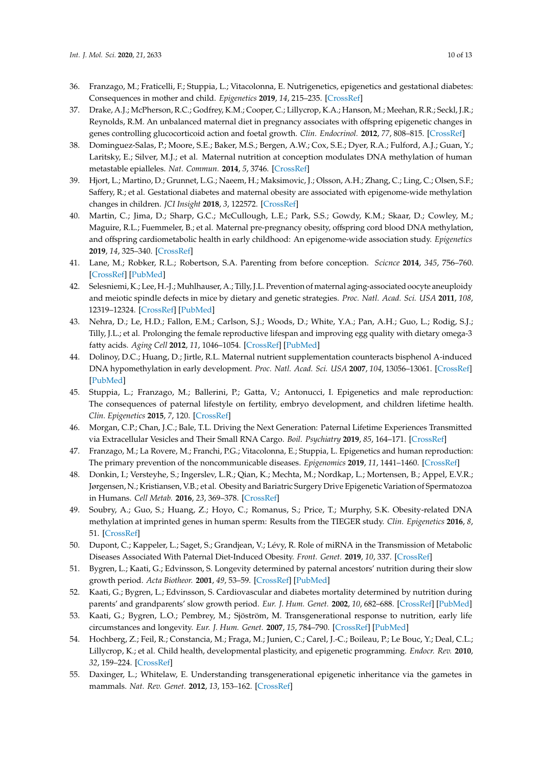- <span id="page-9-0"></span>36. Franzago, M.; Fraticelli, F.; Stuppia, L.; Vitacolonna, E. Nutrigenetics, epigenetics and gestational diabetes: Consequences in mother and child. *Epigenetics* **2019**, *14*, 215–235. [\[CrossRef\]](http://dx.doi.org/10.1080/15592294.2019.1582277)
- <span id="page-9-1"></span>37. Drake, A.J.; McPherson, R.C.; Godfrey, K.M.; Cooper, C.; Lillycrop, K.A.; Hanson, M.; Meehan, R.R.; Seckl, J.R.; Reynolds, R.M. An unbalanced maternal diet in pregnancy associates with offspring epigenetic changes in genes controlling glucocorticoid action and foetal growth. *Clin. Endocrinol.* **2012**, *77*, 808–815. [\[CrossRef\]](http://dx.doi.org/10.1111/j.1365-2265.2012.04453.x)
- <span id="page-9-2"></span>38. Dominguez-Salas, P.; Moore, S.E.; Baker, M.S.; Bergen, A.W.; Cox, S.E.; Dyer, R.A.; Fulford, A.J.; Guan, Y.; Laritsky, E.; Silver, M.J.; et al. Maternal nutrition at conception modulates DNA methylation of human metastable epialleles. *Nat. Commun.* **2014**, *5*, 3746. [\[CrossRef\]](http://dx.doi.org/10.1038/ncomms4746)
- <span id="page-9-3"></span>39. Hjort, L.; Martino, D.; Grunnet, L.G.; Naeem, H.; Maksimovic, J.; Olsson, A.H.; Zhang, C.; Ling, C.; Olsen, S.F.; Saffery, R.; et al. Gestational diabetes and maternal obesity are associated with epigenome-wide methylation changes in children. *JCI Insight* **2018**, *3*, 122572. [\[CrossRef\]](http://dx.doi.org/10.1172/jci.insight.122572)
- <span id="page-9-4"></span>40. Martin, C.; Jima, D.; Sharp, G.C.; McCullough, L.E.; Park, S.S.; Gowdy, K.M.; Skaar, D.; Cowley, M.; Maguire, R.L.; Fuemmeler, B.; et al. Maternal pre-pregnancy obesity, offspring cord blood DNA methylation, and offspring cardiometabolic health in early childhood: An epigenome-wide association study. *Epigenetics* **2019**, *14*, 325–340. [\[CrossRef\]](http://dx.doi.org/10.1080/15592294.2019.1581594)
- <span id="page-9-5"></span>41. Lane, M.; Robker, R.L.; Robertson, S.A. Parenting from before conception. *Scicnce* **2014**, *345*, 756–760. [\[CrossRef\]](http://dx.doi.org/10.1126/science.1254400) [\[PubMed\]](http://www.ncbi.nlm.nih.gov/pubmed/25124428)
- <span id="page-9-6"></span>42. Selesniemi, K.; Lee, H.-J.; Muhlhauser, A.; Tilly, J.L. Prevention of maternal aging-associated oocyte aneuploidy and meiotic spindle defects in mice by dietary and genetic strategies. *Proc. Natl. Acad. Sci. USA* **2011**, *108*, 12319–12324. [\[CrossRef\]](http://dx.doi.org/10.1073/pnas.1018793108) [\[PubMed\]](http://www.ncbi.nlm.nih.gov/pubmed/21730149)
- <span id="page-9-7"></span>43. Nehra, D.; Le, H.D.; Fallon, E.M.; Carlson, S.J.; Woods, D.; White, Y.A.; Pan, A.H.; Guo, L.; Rodig, S.J.; Tilly, J.L.; et al. Prolonging the female reproductive lifespan and improving egg quality with dietary omega-3 fatty acids. *Aging Cell* **2012**, *11*, 1046–1054. [\[CrossRef\]](http://dx.doi.org/10.1111/acel.12006) [\[PubMed\]](http://www.ncbi.nlm.nih.gov/pubmed/22978268)
- <span id="page-9-8"></span>44. Dolinoy, D.C.; Huang, D.; Jirtle, R.L. Maternal nutrient supplementation counteracts bisphenol A-induced DNA hypomethylation in early development. *Proc. Natl. Acad. Sci. USA* **2007**, *104*, 13056–13061. [\[CrossRef\]](http://dx.doi.org/10.1073/pnas.0703739104) [\[PubMed\]](http://www.ncbi.nlm.nih.gov/pubmed/17670942)
- <span id="page-9-9"></span>45. Stuppia, L.; Franzago, M.; Ballerini, P.; Gatta, V.; Antonucci, I. Epigenetics and male reproduction: The consequences of paternal lifestyle on fertility, embryo development, and children lifetime health. *Clin. Epigenetics* **2015**, *7*, 120. [\[CrossRef\]](http://dx.doi.org/10.1186/s13148-015-0155-4)
- <span id="page-9-10"></span>46. Morgan, C.P.; Chan, J.C.; Bale, T.L. Driving the Next Generation: Paternal Lifetime Experiences Transmitted via Extracellular Vesicles and Their Small RNA Cargo. *Boil. Psychiatry* **2019**, *85*, 164–171. [\[CrossRef\]](http://dx.doi.org/10.1016/j.biopsych.2018.09.007)
- <span id="page-9-11"></span>47. Franzago, M.; La Rovere, M.; Franchi, P.G.; Vitacolonna, E.; Stuppia, L. Epigenetics and human reproduction: The primary prevention of the noncommunicable diseases. *Epigenomics* **2019**, *11*, 1441–1460. [\[CrossRef\]](http://dx.doi.org/10.2217/epi-2019-0163)
- <span id="page-9-12"></span>48. Donkin, I.; Versteyhe, S.; Ingerslev, L.R.; Qian, K.; Mechta, M.; Nordkap, L.; Mortensen, B.; Appel, E.V.R.; Jørgensen, N.; Kristiansen, V.B.; et al. Obesity and Bariatric Surgery Drive Epigenetic Variation of Spermatozoa in Humans. *Cell Metab.* **2016**, *23*, 369–378. [\[CrossRef\]](http://dx.doi.org/10.1016/j.cmet.2015.11.004)
- <span id="page-9-13"></span>49. Soubry, A.; Guo, S.; Huang, Z.; Hoyo, C.; Romanus, S.; Price, T.; Murphy, S.K. Obesity-related DNA methylation at imprinted genes in human sperm: Results from the TIEGER study. *Clin. Epigenetics* **2016**, *8*, 51. [\[CrossRef\]](http://dx.doi.org/10.1186/s13148-016-0217-2)
- <span id="page-9-14"></span>50. Dupont, C.; Kappeler, L.; Saget, S.; Grandjean, V.; Lévy, R. Role of miRNA in the Transmission of Metabolic Diseases Associated With Paternal Diet-Induced Obesity. *Front. Genet.* **2019**, *10*, 337. [\[CrossRef\]](http://dx.doi.org/10.3389/fgene.2019.00337)
- <span id="page-9-15"></span>51. Bygren, L.; Kaati, G.; Edvinsson, S. Longevity determined by paternal ancestors' nutrition during their slow growth period. *Acta Biotheor.* **2001**, *49*, 53–59. [\[CrossRef\]](http://dx.doi.org/10.1023/A:1010241825519) [\[PubMed\]](http://www.ncbi.nlm.nih.gov/pubmed/11368478)
- 52. Kaati, G.; Bygren, L.; Edvinsson, S. Cardiovascular and diabetes mortality determined by nutrition during parents' and grandparents' slow growth period. *Eur. J. Hum. Genet.* **2002**, *10*, 682–688. [\[CrossRef\]](http://dx.doi.org/10.1038/sj.ejhg.5200859) [\[PubMed\]](http://www.ncbi.nlm.nih.gov/pubmed/12404098)
- <span id="page-9-16"></span>53. Kaati, G.; Bygren, L.O.; Pembrey, M.; Sjöström, M. Transgenerational response to nutrition, early life circumstances and longevity. *Eur. J. Hum. Genet.* **2007**, *15*, 784–790. [\[CrossRef\]](http://dx.doi.org/10.1038/sj.ejhg.5201832) [\[PubMed\]](http://www.ncbi.nlm.nih.gov/pubmed/17457370)
- <span id="page-9-17"></span>54. Hochberg, Z.; Feil, R.; Constancia, M.; Fraga, M.; Junien, C.; Carel, J.-C.; Boileau, P.; Le Bouc, Y.; Deal, C.L.; Lillycrop, K.; et al. Child health, developmental plasticity, and epigenetic programming. *Endocr. Rev.* **2010**, *32*, 159–224. [\[CrossRef\]](http://dx.doi.org/10.1210/er.2009-0039)
- 55. Daxinger, L.; Whitelaw, E. Understanding transgenerational epigenetic inheritance via the gametes in mammals. *Nat. Rev. Genet.* **2012**, *13*, 153–162. [\[CrossRef\]](http://dx.doi.org/10.1038/nrg3188)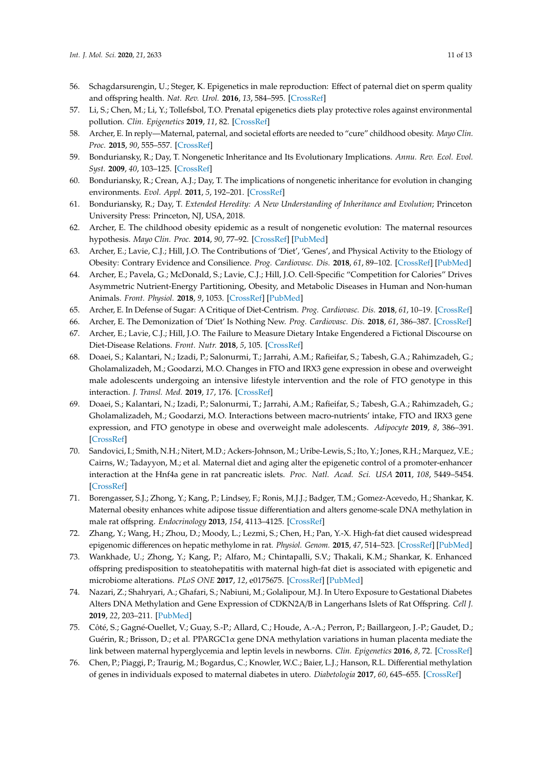- <span id="page-10-0"></span>56. Schagdarsurengin, U.; Steger, K. Epigenetics in male reproduction: Effect of paternal diet on sperm quality and offspring health. *Nat. Rev. Urol.* **2016**, *13*, 584–595. [\[CrossRef\]](http://dx.doi.org/10.1038/nrurol.2016.157)
- <span id="page-10-1"></span>57. Li, S.; Chen, M.; Li, Y.; Tollefsbol, T.O. Prenatal epigenetics diets play protective roles against environmental pollution. *Clin. Epigenetics* **2019**, *11*, 82. [\[CrossRef\]](http://dx.doi.org/10.1186/s13148-019-0659-4)
- <span id="page-10-2"></span>58. Archer, E. In reply—Maternal, paternal, and societal efforts are needed to "cure" childhood obesity. *Mayo Clin. Proc.* **2015**, *90*, 555–557. [\[CrossRef\]](http://dx.doi.org/10.1016/j.mayocp.2015.01.020)
- <span id="page-10-3"></span>59. Bonduriansky, R.; Day, T. Nongenetic Inheritance and Its Evolutionary Implications. *Annu. Rev. Ecol. Evol. Syst.* **2009**, *40*, 103–125. [\[CrossRef\]](http://dx.doi.org/10.1146/annurev.ecolsys.39.110707.173441)
- 60. Bonduriansky, R.; Crean, A.J.; Day, T. The implications of nongenetic inheritance for evolution in changing environments. *Evol. Appl.* **2011**, *5*, 192–201. [\[CrossRef\]](http://dx.doi.org/10.1111/j.1752-4571.2011.00213.x)
- <span id="page-10-4"></span>61. Bonduriansky, R.; Day, T. *Extended Heredity: A New Understanding of Inheritance and Evolution*; Princeton University Press: Princeton, NJ, USA, 2018.
- <span id="page-10-5"></span>62. Archer, E. The childhood obesity epidemic as a result of nongenetic evolution: The maternal resources hypothesis. *Mayo Clin. Proc.* **2014**, *90*, 77–92. [\[CrossRef\]](http://dx.doi.org/10.1016/j.mayocp.2014.08.006) [\[PubMed\]](http://www.ncbi.nlm.nih.gov/pubmed/25440888)
- 63. Archer, E.; Lavie, C.J.; Hill, J.O. The Contributions of 'Diet', 'Genes', and Physical Activity to the Etiology of Obesity: Contrary Evidence and Consilience. *Prog. Cardiovasc. Dis.* **2018**, *61*, 89–102. [\[CrossRef\]](http://dx.doi.org/10.1016/j.pcad.2018.06.002) [\[PubMed\]](http://www.ncbi.nlm.nih.gov/pubmed/29906484)
- <span id="page-10-6"></span>64. Archer, E.; Pavela, G.; McDonald, S.; Lavie, C.J.; Hill, J.O. Cell-Specific "Competition for Calories" Drives Asymmetric Nutrient-Energy Partitioning, Obesity, and Metabolic Diseases in Human and Non-human Animals. *Front. Physiol.* **2018**, *9*, 1053. [\[CrossRef\]](http://dx.doi.org/10.3389/fphys.2018.01053) [\[PubMed\]](http://www.ncbi.nlm.nih.gov/pubmed/30147656)
- <span id="page-10-7"></span>65. Archer, E. In Defense of Sugar: A Critique of Diet-Centrism. *Prog. Cardiovasc. Dis.* **2018**, *61*, 10–19. [\[CrossRef\]](http://dx.doi.org/10.1016/j.pcad.2018.04.007)
- <span id="page-10-8"></span>66. Archer, E. The Demonization of 'Diet' Is Nothing New. *Prog. Cardiovasc. Dis.* **2018**, *61*, 386–387. [\[CrossRef\]](http://dx.doi.org/10.1016/j.pcad.2018.07.013)
- <span id="page-10-9"></span>67. Archer, E.; Lavie, C.J.; Hill, J.O. The Failure to Measure Dietary Intake Engendered a Fictional Discourse on Diet-Disease Relations. *Front. Nutr.* **2018**, *5*, 105. [\[CrossRef\]](http://dx.doi.org/10.3389/fnut.2018.00105)
- <span id="page-10-10"></span>68. Doaei, S.; Kalantari, N.; Izadi, P.; Salonurmi, T.; Jarrahi, A.M.; Rafieifar, S.; Tabesh, G.A.; Rahimzadeh, G.; Gholamalizadeh, M.; Goodarzi, M.O. Changes in FTO and IRX3 gene expression in obese and overweight male adolescents undergoing an intensive lifestyle intervention and the role of FTO genotype in this interaction. *J. Transl. Med.* **2019**, *17*, 176. [\[CrossRef\]](http://dx.doi.org/10.1186/s12967-019-1921-4)
- <span id="page-10-11"></span>69. Doaei, S.; Kalantari, N.; Izadi, P.; Salonurmi, T.; Jarrahi, A.M.; Rafieifar, S.; Tabesh, G.A.; Rahimzadeh, G.; Gholamalizadeh, M.; Goodarzi, M.O. Interactions between macro-nutrients' intake, FTO and IRX3 gene expression, and FTO genotype in obese and overweight male adolescents. *Adipocyte* **2019**, *8*, 386–391. [\[CrossRef\]](http://dx.doi.org/10.1080/21623945.2019.1693745)
- <span id="page-10-12"></span>70. Sandovici, I.; Smith, N.H.; Nitert, M.D.; Ackers-Johnson, M.; Uribe-Lewis, S.; Ito, Y.; Jones, R.H.; Marquez, V.E.; Cairns, W.; Tadayyon, M.; et al. Maternal diet and aging alter the epigenetic control of a promoter-enhancer interaction at the Hnf4a gene in rat pancreatic islets. *Proc. Natl. Acad. Sci. USA* **2011**, *108*, 5449–5454. [\[CrossRef\]](http://dx.doi.org/10.1073/pnas.1019007108)
- 71. Borengasser, S.J.; Zhong, Y.; Kang, P.; Lindsey, F.; Ronis, M.J.J.; Badger, T.M.; Gomez-Acevedo, H.; Shankar, K. Maternal obesity enhances white adipose tissue differentiation and alters genome-scale DNA methylation in male rat offspring. *Endocrinology* **2013**, *154*, 4113–4125. [\[CrossRef\]](http://dx.doi.org/10.1210/en.2012-2255)
- 72. Zhang, Y.; Wang, H.; Zhou, D.; Moody, L.; Lezmi, S.; Chen, H.; Pan, Y.-X. High-fat diet caused widespread epigenomic differences on hepatic methylome in rat. *Physiol. Genom.* **2015**, *47*, 514–523. [\[CrossRef\]](http://dx.doi.org/10.1152/physiolgenomics.00110.2014) [\[PubMed\]](http://www.ncbi.nlm.nih.gov/pubmed/26199400)
- 73. Wankhade, U.; Zhong, Y.; Kang, P.; Alfaro, M.; Chintapalli, S.V.; Thakali, K.M.; Shankar, K. Enhanced offspring predisposition to steatohepatitis with maternal high-fat diet is associated with epigenetic and microbiome alterations. *PLoS ONE* **2017**, *12*, e0175675. [\[CrossRef\]](http://dx.doi.org/10.1371/journal.pone.0175675) [\[PubMed\]](http://www.ncbi.nlm.nih.gov/pubmed/28414763)
- <span id="page-10-13"></span>74. Nazari, Z.; Shahryari, A.; Ghafari, S.; Nabiuni, M.; Golalipour, M.J. In Utero Exposure to Gestational Diabetes Alters DNA Methylation and Gene Expression of CDKN2A/B in Langerhans Islets of Rat Offspring. *Cell J.* **2019**, *22*, 203–211. [\[PubMed\]](http://www.ncbi.nlm.nih.gov/pubmed/31721535)
- <span id="page-10-14"></span>75. Côté, S.; Gagné-Ouellet, V.; Guay, S.-P.; Allard, C.; Houde, A.-A.; Perron, P.; Baillargeon, J.-P.; Gaudet, D.; Guérin, R.; Brisson, D.; et al. PPARGC1 $\alpha$  gene DNA methylation variations in human placenta mediate the link between maternal hyperglycemia and leptin levels in newborns. *Clin. Epigenetics* **2016**, *8*, 72. [\[CrossRef\]](http://dx.doi.org/10.1186/s13148-016-0239-9)
- 76. Chen, P.; Piaggi, P.; Traurig, M.; Bogardus, C.; Knowler, W.C.; Baier, L.J.; Hanson, R.L. Differential methylation of genes in individuals exposed to maternal diabetes in utero. *Diabetologia* **2017**, *60*, 645–655. [\[CrossRef\]](http://dx.doi.org/10.1007/s00125-016-4203-1)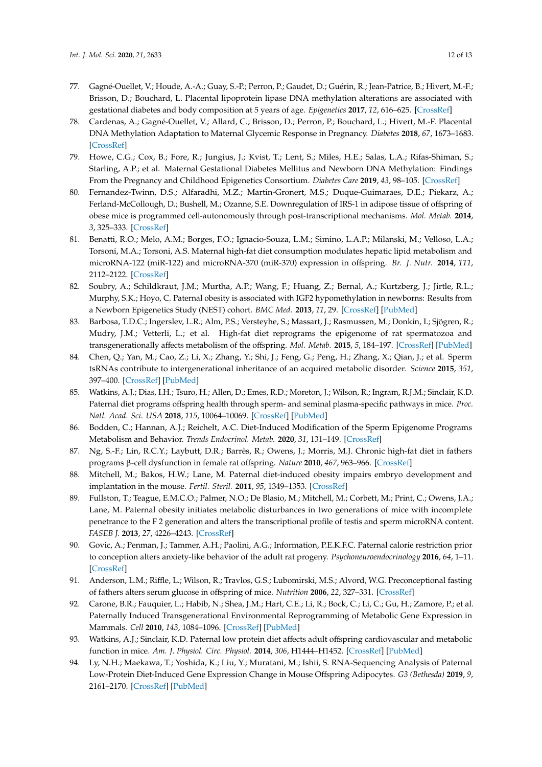- 77. Gagné-Ouellet, V.; Houde, A.-A.; Guay, S.-P.; Perron, P.; Gaudet, D.; Guérin, R.; Jean-Patrice, B.; Hivert, M.-F.; Brisson, D.; Bouchard, L. Placental lipoprotein lipase DNA methylation alterations are associated with gestational diabetes and body composition at 5 years of age. *Epigenetics* **2017**, *12*, 616–625. [\[CrossRef\]](http://dx.doi.org/10.1080/15592294.2017.1322254)
- 78. Cardenas, A.; Gagné-Ouellet, V.; Allard, C.; Brisson, D.; Perron, P.; Bouchard, L.; Hivert, M.-F. Placental DNA Methylation Adaptation to Maternal Glycemic Response in Pregnancy. *Diabetes* **2018**, *67*, 1673–1683. [\[CrossRef\]](http://dx.doi.org/10.2337/db18-0123)
- <span id="page-11-0"></span>79. Howe, C.G.; Cox, B.; Fore, R.; Jungius, J.; Kvist, T.; Lent, S.; Miles, H.E.; Salas, L.A.; Rifas-Shiman, S.; Starling, A.P.; et al. Maternal Gestational Diabetes Mellitus and Newborn DNA Methylation: Findings From the Pregnancy and Childhood Epigenetics Consortium. *Diabetes Care* **2019**, *43*, 98–105. [\[CrossRef\]](http://dx.doi.org/10.2337/dc19-0524)
- <span id="page-11-1"></span>80. Fernandez-Twinn, D.S.; Alfaradhi, M.Z.; Martin-Gronert, M.S.; Duque-Guimaraes, D.E.; Piekarz, A.; Ferland-McCollough, D.; Bushell, M.; Ozanne, S.E. Downregulation of IRS-1 in adipose tissue of offspring of obese mice is programmed cell-autonomously through post-transcriptional mechanisms. *Mol. Metab.* **2014**, *3*, 325–333. [\[CrossRef\]](http://dx.doi.org/10.1016/j.molmet.2014.01.007)
- <span id="page-11-2"></span>81. Benatti, R.O.; Melo, A.M.; Borges, F.O.; Ignacio-Souza, L.M.; Simino, L.A.P.; Milanski, M.; Velloso, L.A.; Torsoni, M.A.; Torsoni, A.S. Maternal high-fat diet consumption modulates hepatic lipid metabolism and microRNA-122 (miR-122) and microRNA-370 (miR-370) expression in offspring. *Br. J. Nutr.* **2014**, *111*, 2112–2122. [\[CrossRef\]](http://dx.doi.org/10.1017/S0007114514000579)
- 82. Soubry, A.; Schildkraut, J.M.; Murtha, A.P.; Wang, F.; Huang, Z.; Bernal, A.; Kurtzberg, J.; Jirtle, R.L.; Murphy, S.K.; Hoyo, C. Paternal obesity is associated with IGF2 hypomethylation in newborns: Results from a Newborn Epigenetics Study (NEST) cohort. *BMC Med.* **2013**, *11*, 29. [\[CrossRef\]](http://dx.doi.org/10.1186/1741-7015-11-29) [\[PubMed\]](http://www.ncbi.nlm.nih.gov/pubmed/23388414)
- <span id="page-11-4"></span>83. Barbosa, T.D.C.; Ingerslev, L.R.; Alm, P.S.; Versteyhe, S.; Massart, J.; Rasmussen, M.; Donkin, I.; Sjögren, R.; Mudry, J.M.; Vetterli, L.; et al. High-fat diet reprograms the epigenome of rat spermatozoa and transgenerationally affects metabolism of the offspring. *Mol. Metab.* **2015**, *5*, 184–197. [\[CrossRef\]](http://dx.doi.org/10.1016/j.molmet.2015.12.002) [\[PubMed\]](http://www.ncbi.nlm.nih.gov/pubmed/26977389)
- 84. Chen, Q.; Yan, M.; Cao, Z.; Li, X.; Zhang, Y.; Shi, J.; Feng, G.; Peng, H.; Zhang, X.; Qian, J.; et al. Sperm tsRNAs contribute to intergenerational inheritance of an acquired metabolic disorder. *Science* **2015**, *351*, 397–400. [\[CrossRef\]](http://dx.doi.org/10.1126/science.aad7977) [\[PubMed\]](http://www.ncbi.nlm.nih.gov/pubmed/26721680)
- <span id="page-11-7"></span>85. Watkins, A.J.; Dias, I.H.; Tsuro, H.; Allen, D.; Emes, R.D.; Moreton, J.; Wilson, R.; Ingram, R.J.M.; Sinclair, K.D. Paternal diet programs offspring health through sperm- and seminal plasma-specific pathways in mice. *Proc. Natl. Acad. Sci. USA* **2018**, *115*, 10064–10069. [\[CrossRef\]](http://dx.doi.org/10.1073/pnas.1806333115) [\[PubMed\]](http://www.ncbi.nlm.nih.gov/pubmed/30150380)
- <span id="page-11-3"></span>86. Bodden, C.; Hannan, A.J.; Reichelt, A.C. Diet-Induced Modification of the Sperm Epigenome Programs Metabolism and Behavior. *Trends Endocrinol. Metab.* **2020**, *31*, 131–149. [\[CrossRef\]](http://dx.doi.org/10.1016/j.tem.2019.10.005)
- <span id="page-11-5"></span>87. Ng, S.-F.; Lin, R.C.Y.; Laybutt, D.R.; Barrès, R.; Owens, J.; Morris, M.J. Chronic high-fat diet in fathers programs β-cell dysfunction in female rat offspring. *Nature* **2010**, *467*, 963–966. [\[CrossRef\]](http://dx.doi.org/10.1038/nature09491)
- 88. Mitchell, M.; Bakos, H.W.; Lane, M. Paternal diet-induced obesity impairs embryo development and implantation in the mouse. *Fertil. Steril.* **2011**, *95*, 1349–1353. [\[CrossRef\]](http://dx.doi.org/10.1016/j.fertnstert.2010.09.038)
- <span id="page-11-6"></span>89. Fullston, T.; Teague, E.M.C.O.; Palmer, N.O.; De Blasio, M.; Mitchell, M.; Corbett, M.; Print, C.; Owens, J.A.; Lane, M. Paternal obesity initiates metabolic disturbances in two generations of mice with incomplete penetrance to the F 2 generation and alters the transcriptional profile of testis and sperm microRNA content. *FASEB J.* **2013**, *27*, 4226–4243. [\[CrossRef\]](http://dx.doi.org/10.1096/fj.12-224048)
- <span id="page-11-8"></span>90. Govic, A.; Penman, J.; Tammer, A.H.; Paolini, A.G.; Information, P.E.K.F.C. Paternal calorie restriction prior to conception alters anxiety-like behavior of the adult rat progeny. *Psychoneuroendocrinology* **2016**, *64*, 1–11. [\[CrossRef\]](http://dx.doi.org/10.1016/j.psyneuen.2015.10.020)
- 91. Anderson, L.M.; Riffle, L.; Wilson, R.; Travlos, G.S.; Lubomirski, M.S.; Alvord, W.G. Preconceptional fasting of fathers alters serum glucose in offspring of mice. *Nutrition* **2006**, *22*, 327–331. [\[CrossRef\]](http://dx.doi.org/10.1016/j.nut.2005.09.006)
- 92. Carone, B.R.; Fauquier, L.; Habib, N.; Shea, J.M.; Hart, C.E.; Li, R.; Bock, C.; Li, C.; Gu, H.; Zamore, P.; et al. Paternally Induced Transgenerational Environmental Reprogramming of Metabolic Gene Expression in Mammals. *Cell* **2010**, *143*, 1084–1096. [\[CrossRef\]](http://dx.doi.org/10.1016/j.cell.2010.12.008) [\[PubMed\]](http://www.ncbi.nlm.nih.gov/pubmed/21183072)
- 93. Watkins, A.J.; Sinclair, K.D. Paternal low protein diet affects adult offspring cardiovascular and metabolic function in mice. *Am. J. Physiol. Circ. Physiol.* **2014**, *306*, H1444–H1452. [\[CrossRef\]](http://dx.doi.org/10.1152/ajpheart.00981.2013) [\[PubMed\]](http://www.ncbi.nlm.nih.gov/pubmed/24658019)
- <span id="page-11-9"></span>94. Ly, N.H.; Maekawa, T.; Yoshida, K.; Liu, Y.; Muratani, M.; Ishii, S. RNA-Sequencing Analysis of Paternal Low-Protein Diet-Induced Gene Expression Change in Mouse Offspring Adipocytes. *G3 (Bethesda)* **2019**, *9*, 2161–2170. [\[CrossRef\]](http://dx.doi.org/10.1534/g3.119.400181) [\[PubMed\]](http://www.ncbi.nlm.nih.gov/pubmed/31289120)